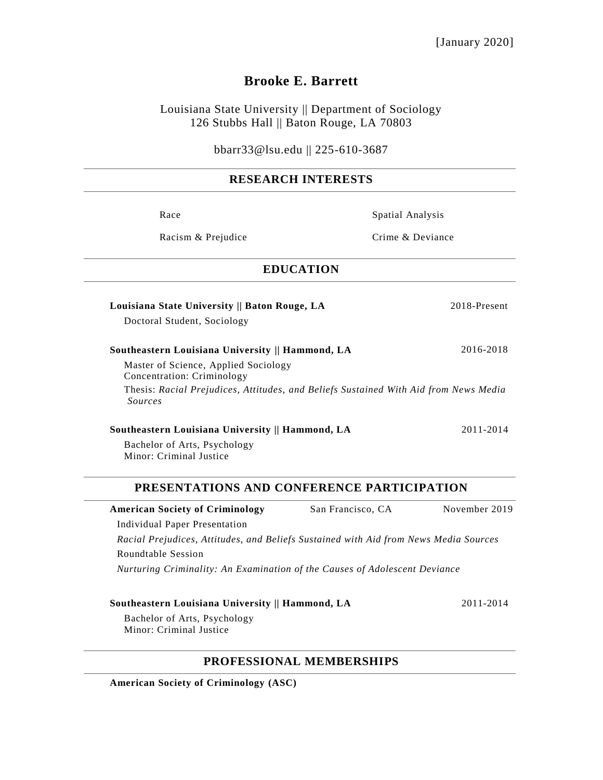# **Brooke E. Barrett**

Louisiana State University || Department of Sociology 126 Stubbs Hall || Baton Rouge, LA 70803

bbarr33@lsu.edu || 225-610-3687

## **RESEARCH INTERESTS**

| Race                                                                                                        | Spatial Analysis                                                                     |  |
|-------------------------------------------------------------------------------------------------------------|--------------------------------------------------------------------------------------|--|
| Racism & Prejudice                                                                                          | Crime & Deviance                                                                     |  |
| <b>EDUCATION</b>                                                                                            |                                                                                      |  |
| Louisiana State University    Baton Rouge, LA                                                               | 2018-Present                                                                         |  |
| Doctoral Student, Sociology                                                                                 |                                                                                      |  |
| Southeastern Louisiana University    Hammond, LA                                                            | 2016-2018                                                                            |  |
| Master of Science, Applied Sociology<br>Concentration: Criminology                                          |                                                                                      |  |
| Sources                                                                                                     | Thesis: Racial Prejudices, Attitudes, and Beliefs Sustained With Aid from News Media |  |
| Southeastern Louisiana University    Hammond, LA                                                            | 2011-2014                                                                            |  |
| Bachelor of Arts, Psychology<br>Minor: Criminal Justice                                                     |                                                                                      |  |
| PRESENTATIONS AND CONFERENCE PARTICIPATION                                                                  |                                                                                      |  |
| <b>American Society of Criminology</b><br><b>Individual Paper Presentation</b>                              | November 2019<br>San Francisco, CA                                                   |  |
|                                                                                                             | Racial Prejudices, Attitudes, and Beliefs Sustained with Aid from News Media Sources |  |
| Roundtable Session                                                                                          |                                                                                      |  |
| Nurturing Criminality: An Examination of the Causes of Adolescent Deviance                                  |                                                                                      |  |
| Southeastern Louisiana University    Hammond, LA<br>Bachelor of Arts, Psychology<br>Minor: Criminal Justice | 2011-2014                                                                            |  |
|                                                                                                             |                                                                                      |  |

### **PROFESSIONAL MEMBERSHIPS**

**American Society of Criminology (ASC)**